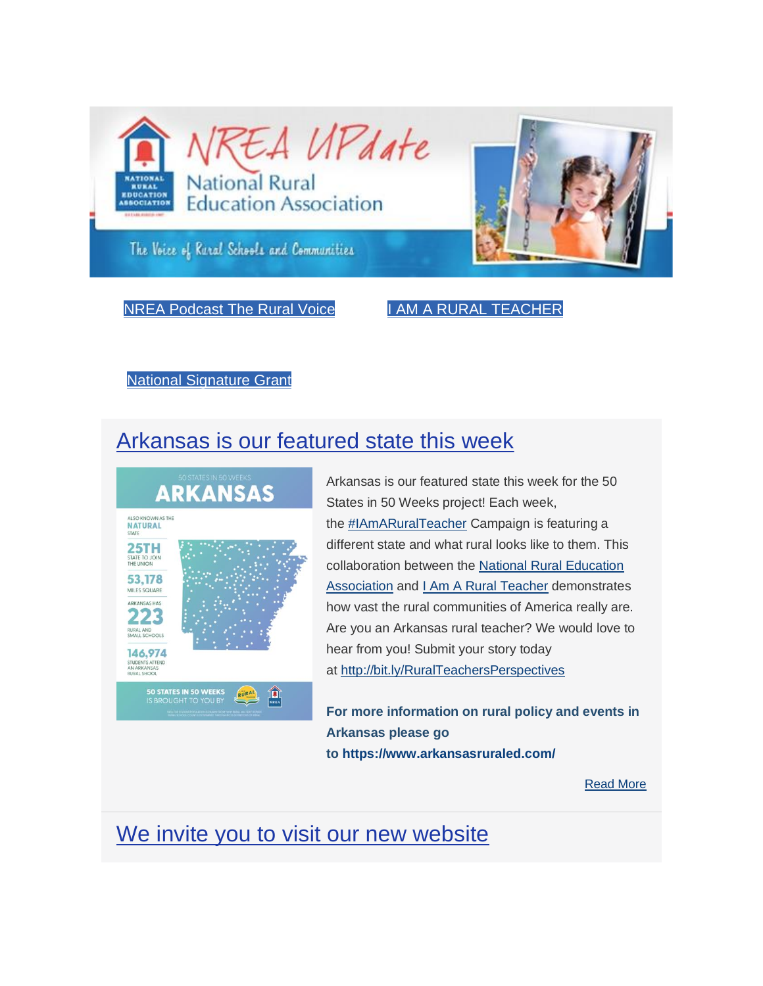

NREA [Podcast](https://www.eventbank.com/track/redirect?type=campaign&lid=2&tracking_id=%5btrackingId%5d&redirect_url=https%3A%2F%2Fnrea.simplecast.com%2F&ts=1582920000&ps=NVhydjJLTjBvam9QMUR6V29hMStENThERlZqWmRDbnV5VS90YjVneFJnWTY0MHpaNDhSeFdPOTRUc2h2SmhMKw==) The Rural Voice I AM A RURAL [TEACHER](https://www.eventbank.com/track/redirect?type=campaign&lid=3&tracking_id=%5btrackingId%5d&redirect_url=https%3A%2F%2Fiamaruralteacher.org%2F&ts=1582920000&ps=MDNzR3l0M0NLcSs1Z0pvUVMrU2lSMnNHajI5TU55TUI5YkNmQkYwMDdRZkxGalZkZktvUURWNzRZWW9WQ3pmWA==)

National [Signature](https://www.eventbank.com/track/redirect?type=campaign&lid=4&tracking_id=%5btrackingId%5d&redirect_url=https%3A%2F%2Fruralschoolscollaborative.org%2Fplace-based-education%2Fgrants-in-place&ts=1582920000&ps=Z0dsYkFjSzVVb1NZeXRxeTJnaUk1VERLQkE5Yy9jQ1dDZXdWRm13b3JsMVNzTlRIa3pmcUpTVlQ1elFNTTN1d0Mvd0ZjSnMycHlhazdURmUzSkY3d1ZGbnhMN3hYTE9rVndGQlcrTFA5a2JUVzJ6bGVQYkJsUXNUbXg5REluMzQ=) Grant

### [Arkansas is our featured state this week](https://www.eventbank.com/track/redirect?type=campaign&lid=5&tracking_id=%5btrackingId%5d&redirect_url=http%3A%2F%2Fbit.ly%2FRuralTeachersPerspectives&ts=1582920000&ps=ZytYaGk3c0pOK0I4MkpYS3hhZjE2UXFNQ2FsS1FJUG9waTQ3MmxHWFVWaVN5VCtQTXJIVkJYbzU4SnR0YmFiRA==)



Arkansas is our featured state this week for the 50 States in 50 Weeks project! Each week, the [#IAmARuralTeacher](https://www.eventbank.com/track/redirect?type=campaign&lid=7&tracking_id=%5btrackingId%5d&redirect_url=https%3A%2F%2Fwww.facebook.com%2Fhashtag%2Fiamaruralteacher%3Fsource%3Dfeed_text%26epa%3DHASHTAG%26__xts__%255B0%255D%3D68.ARDZQbsuBph95tsPfW7eS9eL3nNUGlXAElX7iL-8k8H2Ceut-Zqdj4h4Yly1wVRKDWvQzJKC9CjTCGBKi_xOB9Fj6Gvg0wLzvH2V5s-Zjgf7SKPVj2WpZomAC7TPIc--xgsE3xjCACm2YGjUrllyRVxVZWAxqhiQDtKJZx5nxeecuRMvCbn0V3ah9B_raIXObuDRqrOLNDpmKIOuBIoSPo03Lctl7cw9jRm0JJf5001-gjGK_KcP0JV-a_VUoGGYACqL67c3ylDjHzwE14Wy7K603mtVormbMM3t6AEwLLyu2dXmw_jaP3lKA7GK-auapCDV36v41mntR1BHisMr0fTdljzy2Uq52ycMtb-RwPmifcHlZoY4rhOMU6yHFi0watduwWbMw6eLnJp6DT0ipApnqRFA9TWNstF8g5KQcmz5EJHpzckmEPQbknrR5xd-DDsoyIxN6MehL6vyF-u47nHPCaXVVwsyK2RuCWrVxLxzktDNUvVGFQ%26__tn__%3D%252ANK-R&ts=1582920000&ps=MTZTeXFsZllvNFU3M2VjdWVzTzVHTEJGVlFUTzBWZmRqSi9malRMUiszNWw3eXlGanc4MHphWUh2dTFoVmRZenZYTFR1d0xXZTRGbUhCZmFOT1FpMktOeGpVZWdMUzVNVFlWWTY0MzRRaVByRkpNY1JPTWxtVHZVLzc5VktBSnM3TC8xV2QzN3Y0RllTaERaNE1vZ2ZsaUJrVmpWbC9sdSt4V3hYWjZvVHJ3dVkzU3dGTWtGb0NnbFdMQ1FqUlJXRW1na0tVK3FUekJUT29sOWZJL1FodnMrY0xINVhZTVhnZ1QzNVFubmI0U2hhZHFxWTJlSnByMXZSbDMwRFc5MDFnN3AzY0dCZklGSURLUXBZbzN6YkhCNDljZTBZeEV3K2ZmdUVIaEZ3OTlDcUxmZ1VrVlZyL2NmYk5kb0dJSmhZTUxXNGJsWmUwQmZiSWh0SlArYlJPY20vQ2lZSzFCS1VLVE5MVVdYK1J3OTNteUkrUDAxbHV0OVZMdDhDNE11VlREZkoxR3MxVDUvMU9mRUxkZHlBMmdNS3dLbXJDRFVETTcxS0hyTzk0RGZyTldEb29iRTNmK0JkL3JsTUNVL3R3dFJPSUZYQUpQY1JoaFd1bWtNYmhMRWt1VEE2V3JvY1ZXV0Zrd015aFhOV0V3aHVkMjNCN1NCNjdBdmNHQ0x1aW94NVFqd09IZDA1VUtTZjdUY0Jlem5uTmdBQzYrVFVtZUdyb1Rub2xzODB5UnYzSm5GSi9OakxxdVJ5Z09zMTFQYkgvdDRFMi9oWk91bVdCVWJrLzJhSUhhUWgxa1MwdFJoeTN0dm5adXFZNWdVbklKajREQ09iTzZ5T1V3dzhGbHpwNFp5eVVLWVpoTTRsS2YzcDF5dVpiZkh5UGVpVFpvWTl6bTFVUTVuaU5pRzdNd21FT2oyWEdTNzd2aklORUVVWUdDbi9YV2pIQUg2Y0lFS2NhK3RBZDJQTkdvUE9lRmxwTjFwV2ZlNVV3eUFoRnlxLzFLL2xnL3ZCL1FLbUs4eVJqVFFmYzhqODFNcFBhOW9LSTRJVXViVkN4bHB3M2t5STFiNnZIeHVCQnhCcnY0VEpsVG5EeFpvU0JFbmxHSlY2R0xoRlp0L0pVWTROaU9zQnlVVTAyV1pFeUNNL2YzdHp6ZmNTaHc9) Campaign is featuring a different state and what rural looks like to them. This collaboration between the [National Rural Education](https://www.eventbank.com/track/redirect?type=campaign&lid=8&tracking_id=%5btrackingId%5d&redirect_url=https%3A%2F%2Fwww.facebook.com%2Fnrea1907%2F%3F__tn__%3DK-R%26eid%3DARCfgbg5PSO5Ta9nDhNPbHvvlQaQZy0KHIoFxeH7VCBjXhnu8S9Vw7o9vyhcfjeK6fbpOeNfFxoQohq8%26fref%3Dmentions%26__xts__%255B0%255D%3D68.ARDZQbsuBph95tsPfW7eS9eL3nNUGlXAElX7iL-8k8H2Ceut-Zqdj4h4Yly1wVRKDWvQzJKC9CjTCGBKi_xOB9Fj6Gvg0wLzvH2V5s-Zjgf7SKPVj2WpZomAC7TPIc--xgsE3xjCACm2YGjUrllyRVxVZWAxqhiQDtKJZx5nxeecuRMvCbn0V3ah9B_raIXObuDRqrOLNDpmKIOuBIoSPo03Lctl7cw9jRm0JJf5001-gjGK_KcP0JV-a_VUoGGYACqL67c3ylDjHzwE14Wy7K603mtVormbMM3t6AEwLLyu2dXmw_jaP3lKA7GK-auapCDV36v41mntR1BHisMr0fTdljzy2Uq52ycMtb-RwPmifcHlZoY4rhOMU6yHFi0watduwWbMw6eLnJp6DT0ipApnqRFA9TWNstF8g5KQcmz5EJHpzckmEPQbknrR5xd-DDsoyIxN6MehL6vyF-u47nHPCaXVVwsyK2RuCWrVxLxzktDNUvVGFQ&ts=1582920000&ps=MTZTeXFsZllvNFU3M2VjdWVzTzVHTEJGVlFUTzBWZmRqSi9malRMUiszNG9tUFlhK0xtL3RvRzRJUE92QndZMFk5ZVI1VkRNTXlsK3ZCblErM09POU94Z2N4bkIyYVd0VE50NXpZaTRBVXh4V3lZczZTQldZc3ZBUUlzYzRXM3pJNTFLMzFvb1J1MlBzUjlUbC83aWJkendraExtdWhkcUt3eW9DRjg5R3NKYUhmRFZyNkVqY2ZxMlliKzNpOHpqY3prYmlzMG5CRlNGQy93Z3ppaThaTTRSZ0RWWmNiMStiM0ZJekE2dHE4NDVzaDB2ZVJRMFo0THpRb25yYmZwTjZOT254eTFBQllzd3FBM3k3Q2pXYWp6Zmx1UzJQR3FPcDZnWjVlV21wNUtYdmJzWG1xcG5mUWRWSmtEV1FxOW9rejk0RjI0N2xabExIR05zUkppUmNKR24zWmpMbXJ3SFdHZ21XS1dvTG1IcUhRMGxsTHhOMDRVQ3FwUU05ejAvdHVPQXFQQ21ZWjlibXJCaWVTbGVqM2cwa2lWZ0l1L3prdXFVWVE1NU51TzJtVEtITHZScjQ4MHBBZ1dHN1B0R1g3R0lTMmZxYS9RZForTEtIYyt3dVYzR2tsTVFSQTF0RXc2RkdRZkhkcVpCeWJyL2FhMFRSN2ZqWVJyL2VSa1F3eFhtU2wxM2xRSmhRRE1udFRQRDJ2UlJaVmlIY1BPS01Lb0pEY050U05hMjhYeC9ycDZpWFo5S0IxbXgrZ0JKK01Fa0RlN3BOd1RTYTNiUWN2bmcxd2ZuNmNIVFdmR25zUEpTZnFYYmZiRnplcUY2SlBmY0tIa3VENXF0THR1ZmFSV040b2sxeU9uRlV2ZnNSRUIvblJZTVp1Q0N1M05nbTJ4eDYxcEtjQkYreEtucURYN0ljSzFtZlpjRlBFUDQxK3gvWjFjZG1CVU9uMmxRYlkrcVNZSFNEUEQzSUUxODB6T21CQkdudFNmbStabkduUWVyUmRxWXRDTThNVWVaVHV2TDVQTmNjcGQ0OEpqQ3pPZjhUdHV2YjJTM2lDWWNDZmhCQlZaV1hGVTVQTFVoakdkZGxNUGRiNExTUDhtRk1RK2xKY3NWbndaNy83SUFjdkp5bHpWUXRFQU96S0NXZW9qemR4R1ZIcGdCcUMwUHE3QjRGVlVlQVRaVEtkRGVHSkN4cGVWc0JUalg2WkRQL3N2elJETzg2eUNS)  [Association](https://www.eventbank.com/track/redirect?type=campaign&lid=8&tracking_id=%5btrackingId%5d&redirect_url=https%3A%2F%2Fwww.facebook.com%2Fnrea1907%2F%3F__tn__%3DK-R%26eid%3DARCfgbg5PSO5Ta9nDhNPbHvvlQaQZy0KHIoFxeH7VCBjXhnu8S9Vw7o9vyhcfjeK6fbpOeNfFxoQohq8%26fref%3Dmentions%26__xts__%255B0%255D%3D68.ARDZQbsuBph95tsPfW7eS9eL3nNUGlXAElX7iL-8k8H2Ceut-Zqdj4h4Yly1wVRKDWvQzJKC9CjTCGBKi_xOB9Fj6Gvg0wLzvH2V5s-Zjgf7SKPVj2WpZomAC7TPIc--xgsE3xjCACm2YGjUrllyRVxVZWAxqhiQDtKJZx5nxeecuRMvCbn0V3ah9B_raIXObuDRqrOLNDpmKIOuBIoSPo03Lctl7cw9jRm0JJf5001-gjGK_KcP0JV-a_VUoGGYACqL67c3ylDjHzwE14Wy7K603mtVormbMM3t6AEwLLyu2dXmw_jaP3lKA7GK-auapCDV36v41mntR1BHisMr0fTdljzy2Uq52ycMtb-RwPmifcHlZoY4rhOMU6yHFi0watduwWbMw6eLnJp6DT0ipApnqRFA9TWNstF8g5KQcmz5EJHpzckmEPQbknrR5xd-DDsoyIxN6MehL6vyF-u47nHPCaXVVwsyK2RuCWrVxLxzktDNUvVGFQ&ts=1582920000&ps=MTZTeXFsZllvNFU3M2VjdWVzTzVHTEJGVlFUTzBWZmRqSi9malRMUiszNG9tUFlhK0xtL3RvRzRJUE92QndZMFk5ZVI1VkRNTXlsK3ZCblErM09POU94Z2N4bkIyYVd0VE50NXpZaTRBVXh4V3lZczZTQldZc3ZBUUlzYzRXM3pJNTFLMzFvb1J1MlBzUjlUbC83aWJkendraExtdWhkcUt3eW9DRjg5R3NKYUhmRFZyNkVqY2ZxMlliKzNpOHpqY3prYmlzMG5CRlNGQy93Z3ppaThaTTRSZ0RWWmNiMStiM0ZJekE2dHE4NDVzaDB2ZVJRMFo0THpRb25yYmZwTjZOT254eTFBQllzd3FBM3k3Q2pXYWp6Zmx1UzJQR3FPcDZnWjVlV21wNUtYdmJzWG1xcG5mUWRWSmtEV1FxOW9rejk0RjI0N2xabExIR05zUkppUmNKR24zWmpMbXJ3SFdHZ21XS1dvTG1IcUhRMGxsTHhOMDRVQ3FwUU05ejAvdHVPQXFQQ21ZWjlibXJCaWVTbGVqM2cwa2lWZ0l1L3prdXFVWVE1NU51TzJtVEtITHZScjQ4MHBBZ1dHN1B0R1g3R0lTMmZxYS9RZForTEtIYyt3dVYzR2tsTVFSQTF0RXc2RkdRZkhkcVpCeWJyL2FhMFRSN2ZqWVJyL2VSa1F3eFhtU2wxM2xRSmhRRE1udFRQRDJ2UlJaVmlIY1BPS01Lb0pEY050U05hMjhYeC9ycDZpWFo5S0IxbXgrZ0JKK01Fa0RlN3BOd1RTYTNiUWN2bmcxd2ZuNmNIVFdmR25zUEpTZnFYYmZiRnplcUY2SlBmY0tIa3VENXF0THR1ZmFSV040b2sxeU9uRlV2ZnNSRUIvblJZTVp1Q0N1M05nbTJ4eDYxcEtjQkYreEtucURYN0ljSzFtZlpjRlBFUDQxK3gvWjFjZG1CVU9uMmxRYlkrcVNZSFNEUEQzSUUxODB6T21CQkdudFNmbStabkduUWVyUmRxWXRDTThNVWVaVHV2TDVQTmNjcGQ0OEpqQ3pPZjhUdHV2YjJTM2lDWWNDZmhCQlZaV1hGVTVQTFVoakdkZGxNUGRiNExTUDhtRk1RK2xKY3NWbndaNy83SUFjdkp5bHpWUXRFQU96S0NXZW9qemR4R1ZIcGdCcUMwUHE3QjRGVlVlQVRaVEtkRGVHSkN4cGVWc0JUalg2WkRQL3N2elJETzg2eUNS) and [I Am A Rural Teacher](https://www.eventbank.com/track/redirect?type=campaign&lid=9&tracking_id=%5btrackingId%5d&redirect_url=https%3A%2F%2Fwww.facebook.com%2FIAARTCampaign%2F%3F__tn__%3DK-R%26eid%3DARAbltj5spFEr8a12bnA4WBjioWtO4SpwMbMvYSPREIuwcoJUlLdpECT-CJ1SQw3Ep3QrpO9j7clXPl2%26fref%3Dmentions%26__xts__%255B0%255D%3D68.ARDZQbsuBph95tsPfW7eS9eL3nNUGlXAElX7iL-8k8H2Ceut-Zqdj4h4Yly1wVRKDWvQzJKC9CjTCGBKi_xOB9Fj6Gvg0wLzvH2V5s-Zjgf7SKPVj2WpZomAC7TPIc--xgsE3xjCACm2YGjUrllyRVxVZWAxqhiQDtKJZx5nxeecuRMvCbn0V3ah9B_raIXObuDRqrOLNDpmKIOuBIoSPo03Lctl7cw9jRm0JJf5001-gjGK_KcP0JV-a_VUoGGYACqL67c3ylDjHzwE14Wy7K603mtVormbMM3t6AEwLLyu2dXmw_jaP3lKA7GK-auapCDV36v41mntR1BHisMr0fTdljzy2Uq52ycMtb-RwPmifcHlZoY4rhOMU6yHFi0watduwWbMw6eLnJp6DT0ipApnqRFA9TWNstF8g5KQcmz5EJHpzckmEPQbknrR5xd-DDsoyIxN6MehL6vyF-u47nHPCaXVVwsyK2RuCWrVxLxzktDNUvVGFQ&ts=1582920000&ps=MTZTeXFsZllvNFU3M2VjdWVzTzVHTEJGVlFUTzBWZmRqSi9malRMUiszNi96VzFZQTFjemZJMUFoOUtFSnZuTEZyRjVLU1JBRjBpYnEwQ1NoQUx1S1U2cHhBUHFlUHVxbmVKdVlLdXRQMEJVbHpoU21ucTZCd25MREhRTjR6UEFra1p6RG9lR2RTVm40V1VHN0U2aGtWaXVJV1VQY3h3bkxsQ2dsS2tBaVdxQWRVMThLYVZJc1VPOXE0WGVWTU1LVFF5M2VyVXdwZSs1R0E4TlFiQ0lRTHB4bU9yREUyNCtKTkd2dXZuM2c5SzRrUlY2Q21zc1ZzSXhGaUowN1RiaW1VaFE3K0ZXWjU5SlF6a0ozTytlNVU0alJWTmIyT08wWmdvOERhTVYxRG10YXBnVjJsT1VGajJHRVBOaUJUYmtWN2pxU2JsS1VGKzlOUXhON0taMXJPL1UzcWwwSEVkUnJTVXFNaDB5WXVySHpnbVAwampicHViclYveElPaVBVUERuTG1wSHA5RzlMemxzNjlRaFZpamk1SkMvQWZuYVgrSTdXMm1uSS9ja2lnUW5lR3JnNTEwV3locU1qRVNuTnBnZ0hIb05VeGc1TSsyblVtMy9MU3ZLRCt6QnBzd01HbzhyL0ROakxlQmovUkIvUEczdC9aRGFiSEtsWnRMMkZydXVDM09lZVJrVXJaZkdxNWpCd2w4eGZHb0tDdSs5aUNGN0orME5sWnprUUROaTRJdk4rYnp0RXphYlZWL3d0Wjg1SGU2QjNMZW9WSDk4VUlrVHErSDd5Y0JlenVrcmdob1c5SXhaVWRNTk9Bemc4REJIMWQwSUljQldZNTluQko1OFduZE5nblNWRjJwTk1BN1NxZWNWckFVejIvTUV4N0ZPZVFZbnh6YXM5d0ZMMHFtUG50dDZMYkRwb2tTdU9udmhPMkM4cDYvbXFZVEFnb0REbnQzWVF1cUJZUlBUdjNDVmFKNWxsTmVPTnh3SkFIMXpXbzZ4dnF6S0g1T1JTS1pnS3p5a0FtbU02SU5zMC9vd1VaUmkvZk5ZcHo3U0tsSWoxVE5uMHFEQkRUZGVDMUZSUGlidjgwcVFqbWZLV1NaZzdCMXgzcXQzQUIvaVJ2Y0VCbmR0dmFENlZvUHV0bWJjMzE5aUpyR250ZjFmWkFoU05xL2NEbG1vRjQxM1FPbDVYeG42OXJseGZiV2pIZXBlTWlKcFB) demonstrates how vast the rural communities of America really are. Are you an Arkansas rural teacher? We would love to hear from you! Submit your story today at [http://bit.ly/RuralTeachersPerspectives](https://www.eventbank.com/track/redirect?type=campaign&lid=10&tracking_id=%5btrackingId%5d&redirect_url=http%3A%2F%2Fbit.ly%2FRuralTeachersPerspectives&ts=1582920000&ps=ZytYaGk3c0pOK0I4MkpYS3hhZjE2UXFNQ2FsS1FJUG9waTQ3MmxHWFVWaVN5VCtQTXJIVkJYbzU4SnR0YmFiRA==)

**For more information on rural policy and events in Arkansas please go to [https://www.arkansasruraled.com/](https://www.eventbank.com/track/redirect?type=campaign&lid=11&tracking_id=%5btrackingId%5d&redirect_url=https%3A%2F%2Fwww.arkansasruraled.com%2F&ts=1582920000&ps=MTZTeXFsZllvNFU3M2VjdWVzTzVHR1RrT2pyTFB5VXNoQkJMUDhwT3dTZkRBUUxmY0J3ZFFnYjBITjd1blVCQw==)**

[Read More](https://www.eventbank.com/track/redirect?type=campaign&lid=12&tracking_id=%5btrackingId%5d&redirect_url=http%3A%2F%2Fbit.ly%2FRuralTeachersPerspectives&ts=1582920000&ps=ZytYaGk3c0pOK0I4MkpYS3hhZjE2UXFNQ2FsS1FJUG9waTQ3MmxHWFVWaVN5VCtQTXJIVkJYbzU4SnR0YmFiRA==)

[We invite you to visit our new website](https://www.eventbank.com/track/redirect?type=campaign&lid=13&tracking_id=%5btrackingId%5d&redirect_url=https%3A%2F%2Fwww.nrea.net&ts=1582920000&ps=MTZTeXFsZllvNFU3M2VjdWVzTzVHS0l6bG5lRHVMbUpReGlTQVplY1pMUT0=)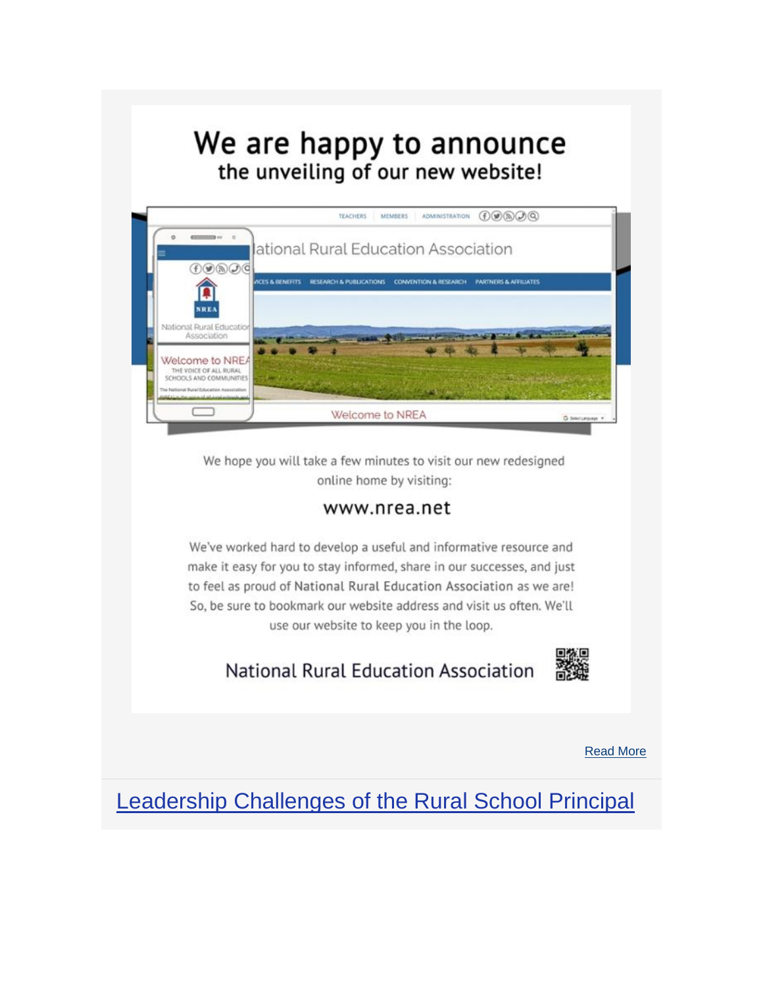# We are happy to announce the unveiling of our new website!



We hope you will take a few minutes to visit our new redesigned online home by visiting:

### www.nrea.net

We've worked hard to develop a useful and informative resource and make it easy for you to stay informed, share in our successes, and just to feel as proud of National Rural Education Association as we are! So, be sure to bookmark our website address and visit us often. We'll use our website to keep you in the loop.

**National Rural Education Association** 



[Read More](https://www.eventbank.com/track/redirect?type=campaign&lid=15&tracking_id=%5btrackingId%5d&redirect_url=https%3A%2F%2Fwww.nrea.net&ts=1582920000&ps=MTZTeXFsZllvNFU3M2VjdWVzTzVHS0l6bG5lRHVMbUpReGlTQVplY1pMUT0=)

[Leadership Challenges of the Rural School Principal](https://www.eventbank.com/track/redirect?type=campaign&lid=16&tracking_id=%5btrackingId%5d&redirect_url=https%3A%2F%2Fjournals.library.msstate.edu%2Findex.php%2Fruraled%2Farticle%2Fview%2F571&ts=1582920000&ps=ckRYR291TDlQaHEvOWNBdnZRZkRZSEZYSjU1MnZYZjUwS2dUYjdVRXJtUGhkTjBDZjc5ekthKzFTSFlCTDZNbnM4SlNRVU1DdkdFV1VYeUZWczhiTVpxV0V3Nk15NDJYNEZCYjdWa3BRMUI4dFhGcmYyeVcyTUNzUU1OWmREVDI=)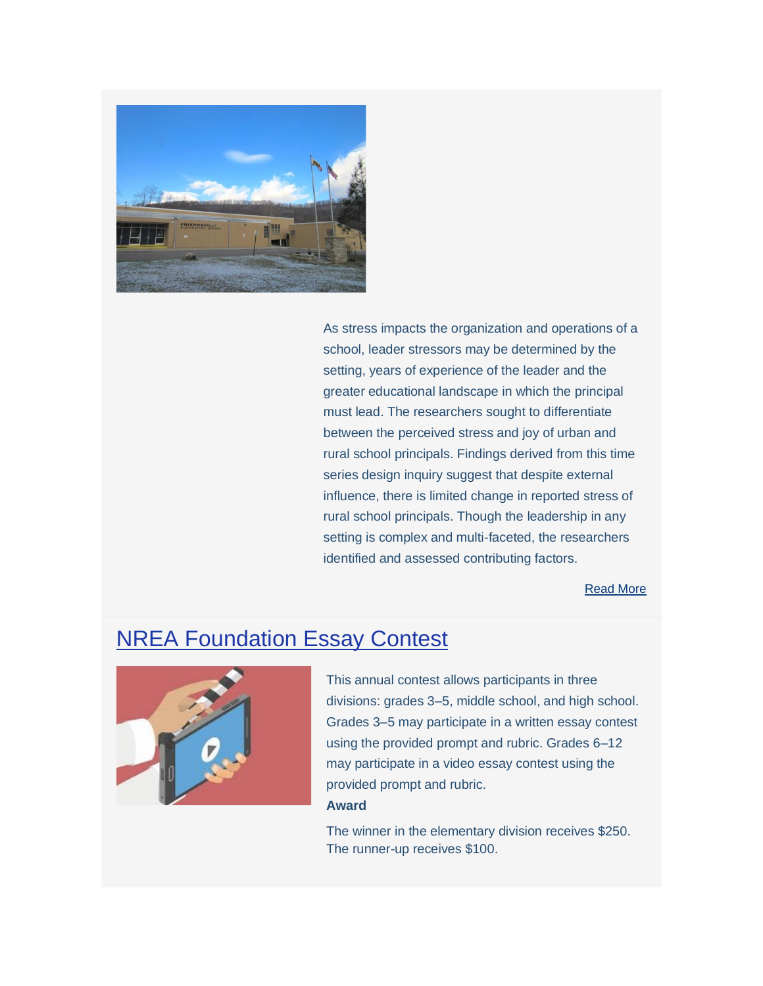

As stress impacts the organization and operations of a school, leader stressors may be determined by the setting, years of experience of the leader and the greater educational landscape in which the principal must lead. The researchers sought to differentiate between the perceived stress and joy of urban and rural school principals. Findings derived from this time series design inquiry suggest that despite external influence, there is limited change in reported stress of rural school principals. Though the leadership in any setting is complex and multi-faceted, the researchers identified and assessed contributing factors.

[Read More](https://www.eventbank.com/track/redirect?type=campaign&lid=18&tracking_id=%5btrackingId%5d&redirect_url=https%3A%2F%2Fjournals.library.msstate.edu%2Findex.php%2Fruraled%2Farticle%2Fview%2F571&ts=1582920000&ps=ckRYR291TDlQaHEvOWNBdnZRZkRZSEZYSjU1MnZYZjUwS2dUYjdVRXJtUGhkTjBDZjc5ekthKzFTSFlCTDZNbnM4SlNRVU1DdkdFV1VYeUZWczhiTVpxV0V3Nk15NDJYNEZCYjdWa3BRMUI4dFhGcmYyeVcyTUNzUU1OWmREVDI=)

### **[NREA Foundation Essay Contest](https://www.eventbank.com/track/redirect?type=campaign&lid=19&tracking_id=%5btrackingId%5d&redirect_url=https%3A%2F%2Ftb2cdn.schoolwebmasters.com%2Faccnt_249630%2Fsite_249631%2FDocuments%2FEssay-Contest-Guidelines.pdf&ts=1582920000&ps=eFRZWUpoYXQ0YWpLdUR6QzZWV0dSbVRGczhvdFlZQ1V3MUZFa1oyVUR6V3NTckVtUjRDSkJsaXJMVzBNRVdpTyttbzQwcmk4TzZKTVlnVlpGMm40RkNlRUJqZ1hJK0ZlY3VsUDExZE5WTCsxUzlCcmdDMWVVa3JpbjFjaDhVRmNpdVczTTB2Y254UWVpOXpmTW10TjYvTFhTNGpjQWpLWitSKzZLamVCdTFNPQ==)**



This annual contest allows participants in three divisions: grades 3–5, middle school, and high school. Grades 3–5 may participate in a written essay contest using the provided prompt and rubric. Grades 6–12 may participate in a video essay contest using the provided prompt and rubric.

#### **Award**

The winner in the elementary division receives \$250. The runner-up receives \$100.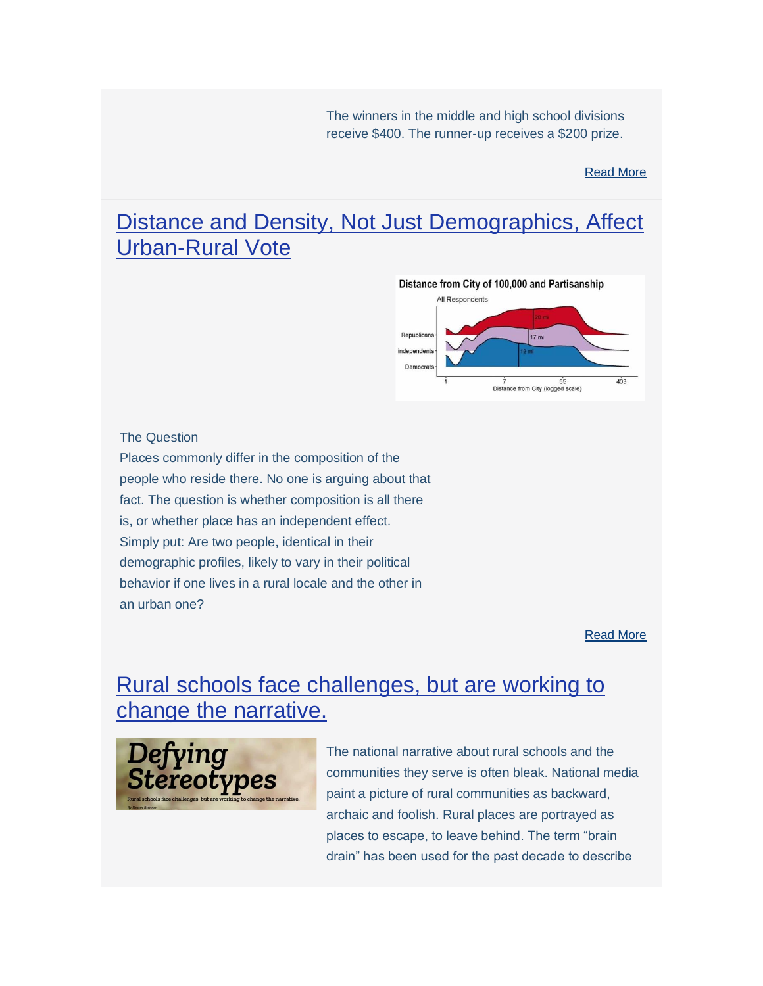The winners in the middle and high school divisions receive \$400. The runner-up receives a \$200 prize.

[Read More](https://www.eventbank.com/track/redirect?type=campaign&lid=21&tracking_id=%5btrackingId%5d&redirect_url=https%3A%2F%2Ftb2cdn.schoolwebmasters.com%2Faccnt_249630%2Fsite_249631%2FDocuments%2FEssay-Contest-Guidelines.pdf&ts=1582920000&ps=eFRZWUpoYXQ0YWpLdUR6QzZWV0dSbVRGczhvdFlZQ1V3MUZFa1oyVUR6V3NTckVtUjRDSkJsaXJMVzBNRVdpTyttbzQwcmk4TzZKTVlnVlpGMm40RkNlRUJqZ1hJK0ZlY3VsUDExZE5WTCsxUzlCcmdDMWVVa3JpbjFjaDhVRmNpdVczTTB2Y254UWVpOXpmTW10TjYvTFhTNGpjQWpLWitSKzZLamVCdTFNPQ==)

### [Distance and Density, Not Just Demographics, Affect](https://www.eventbank.com/track/redirect?type=campaign&lid=22&tracking_id=%5btrackingId%5d&redirect_url=https%3A%2F%2Fwww.dailyyonder.com%2Fdistance-and-density-not-just-demographics-affect-urban-rural-vote%2F2020%2F02%2F24%2F&ts=1582920000&ps=MTZTeXFsZllvNFU3M2VjdWVzTzVHTzAwSHY5QnIwK0tId1hlRTkyTmRVTXdUbTMwTjdPMmJSbGxKQkdSRklzZFhqUTB1Ymh4Q0RtL2NYaitBYldUQjZadG50bkJQeDJqdmJ4Ti9EM2dza3cwYVdoblNUaHQ3RjNhMVlSUTBIYmE4MHQ4cjlLOEJWMnlrdm1GYXpabnJmYTVaU01MeUUzWmt3cEh6QnYzM25BPQ==)  [Urban-Rural Vote](https://www.eventbank.com/track/redirect?type=campaign&lid=22&tracking_id=%5btrackingId%5d&redirect_url=https%3A%2F%2Fwww.dailyyonder.com%2Fdistance-and-density-not-just-demographics-affect-urban-rural-vote%2F2020%2F02%2F24%2F&ts=1582920000&ps=MTZTeXFsZllvNFU3M2VjdWVzTzVHTzAwSHY5QnIwK0tId1hlRTkyTmRVTXdUbTMwTjdPMmJSbGxKQkdSRklzZFhqUTB1Ymh4Q0RtL2NYaitBYldUQjZadG50bkJQeDJqdmJ4Ti9EM2dza3cwYVdoblNUaHQ3RjNhMVlSUTBIYmE4MHQ4cjlLOEJWMnlrdm1GYXpabnJmYTVaU01MeUUzWmt3cEh6QnYzM25BPQ==)



#### The Question

Places commonly differ in the composition of the people who reside there. No one is arguing about that fact. The question is whether composition is all there is, or whether place has an independent effect. Simply put: Are two people, identical in their demographic profiles, likely to vary in their political behavior if one lives in a rural locale and the other in an urban one?

[Read More](https://www.eventbank.com/track/redirect?type=campaign&lid=24&tracking_id=%5btrackingId%5d&redirect_url=https%3A%2F%2Fwww.dailyyonder.com%2Fdistance-and-density-not-just-demographics-affect-urban-rural-vote%2F2020%2F02%2F24%2F&ts=1582920000&ps=MTZTeXFsZllvNFU3M2VjdWVzTzVHTzAwSHY5QnIwK0tId1hlRTkyTmRVTXdUbTMwTjdPMmJSbGxKQkdSRklzZFhqUTB1Ymh4Q0RtL2NYaitBYldUQjZadG50bkJQeDJqdmJ4Ti9EM2dza3cwYVdoblNUaHQ3RjNhMVlSUTBIYmE4MHQ4cjlLOEJWMnlrdm1GYXpabnJmYTVaU01MeUUzWmt3cEh6QnYzM25BPQ==)

### [Rural schools face challenges, but are working to](https://www.eventbank.com/track/redirect?type=campaign&lid=25&tracking_id=%5btrackingId%5d&redirect_url=https%3A%2F%2Fwww.masb.org%2Fportals%2F0%2FMember_Center%2FPublications_and_Media%2FLeaderBoard%2FLB_Jan2020-WEB.pdf%3Ffbclid%3DIwAR3fqnuWxjZcONO2JfPMWbJXrB0oTpAzRP7m1F2BfO5Pw5b8te5XO2jCBmw&ts=1582920000&ps=MTZTeXFsZllvNFU3M2VjdWVzTzVHSmdhQjYzRXdBZEFEUGNsd1ZObXVkd3BjeTlsZ2xoSE1HWW5EQndYYkIwek9nMGxFMGZEWENjaSszZ1ZOSm16TGNKeXlTRE9NT3Q3a1lDTkxmN3pzWmR1dVluZlIySlZOK1pRSGZaRlArS3VEaGppS2NCbGVyUXRPc2pPWlJlNE8zQTZybkIzZ0JUOEFreUlrVnNWTStYbFhDQWx4L0ZKQzNOQkNIRGJHcWsrK2ttdnB2clRqTmlic3hPcTl2NlVzZWNVYUxYQ0FYR2xPdlI5Rzl6N1FNR1FSTG9mVUFIK1YwQ3d2MFB2bWhPWg==)  [change the narrative.](https://www.eventbank.com/track/redirect?type=campaign&lid=25&tracking_id=%5btrackingId%5d&redirect_url=https%3A%2F%2Fwww.masb.org%2Fportals%2F0%2FMember_Center%2FPublications_and_Media%2FLeaderBoard%2FLB_Jan2020-WEB.pdf%3Ffbclid%3DIwAR3fqnuWxjZcONO2JfPMWbJXrB0oTpAzRP7m1F2BfO5Pw5b8te5XO2jCBmw&ts=1582920000&ps=MTZTeXFsZllvNFU3M2VjdWVzTzVHSmdhQjYzRXdBZEFEUGNsd1ZObXVkd3BjeTlsZ2xoSE1HWW5EQndYYkIwek9nMGxFMGZEWENjaSszZ1ZOSm16TGNKeXlTRE9NT3Q3a1lDTkxmN3pzWmR1dVluZlIySlZOK1pRSGZaRlArS3VEaGppS2NCbGVyUXRPc2pPWlJlNE8zQTZybkIzZ0JUOEFreUlrVnNWTStYbFhDQWx4L0ZKQzNOQkNIRGJHcWsrK2ttdnB2clRqTmlic3hPcTl2NlVzZWNVYUxYQ0FYR2xPdlI5Rzl6N1FNR1FSTG9mVUFIK1YwQ3d2MFB2bWhPWg==)



The national narrative about rural schools and the communities they serve is often bleak. National media paint a picture of rural communities as backward, archaic and foolish. Rural places are portrayed as places to escape, to leave behind. The term "brain drain" has been used for the past decade to describe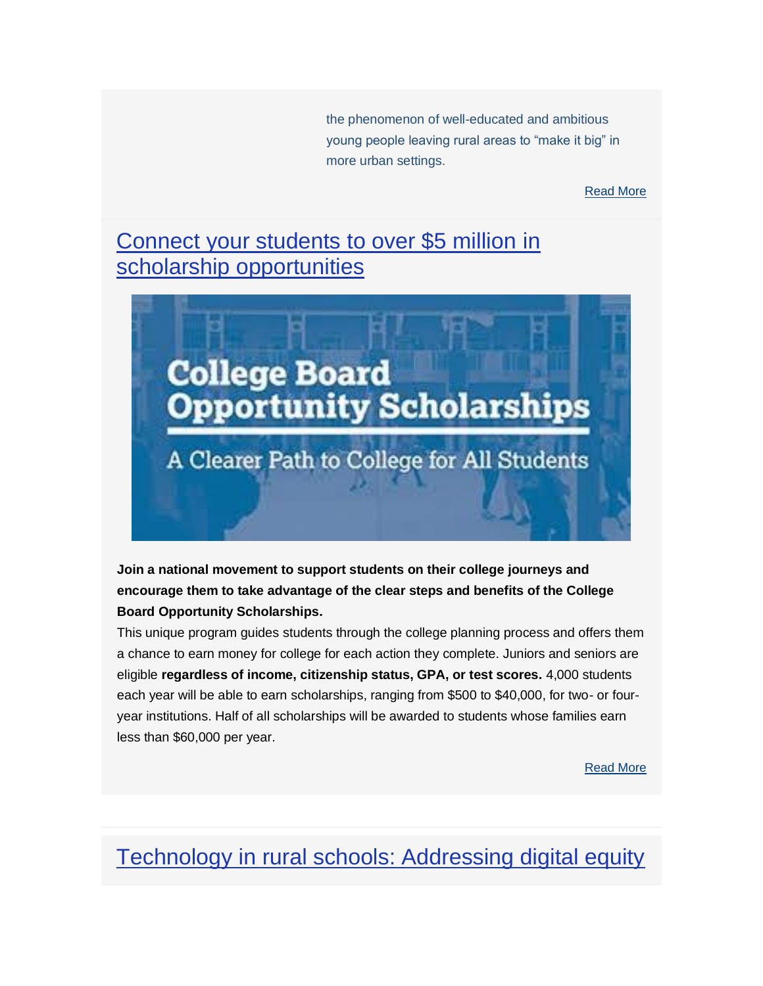the phenomenon of well-educated and ambitious young people leaving rural areas to "make it big" in more urban settings.

[Read More](https://www.eventbank.com/track/redirect?type=campaign&lid=27&tracking_id=%5btrackingId%5d&redirect_url=https%3A%2F%2Fwww.masb.org%2Fportals%2F0%2FMember_Center%2FPublications_and_Media%2FLeaderBoard%2FLB_Jan2020-WEB.pdf%3Ffbclid%3DIwAR3fqnuWxjZcONO2JfPMWbJXrB0oTpAzRP7m1F2BfO5Pw5b8te5XO2jCBmw&ts=1582920000&ps=MTZTeXFsZllvNFU3M2VjdWVzTzVHSmdhQjYzRXdBZEFEUGNsd1ZObXVkd3BjeTlsZ2xoSE1HWW5EQndYYkIwek9nMGxFMGZEWENjaSszZ1ZOSm16TGNKeXlTRE9NT3Q3a1lDTkxmN3pzWmR1dVluZlIySlZOK1pRSGZaRlArS3VEaGppS2NCbGVyUXRPc2pPWlJlNE8zQTZybkIzZ0JUOEFreUlrVnNWTStYbFhDQWx4L0ZKQzNOQkNIRGJHcWsrK2ttdnB2clRqTmlic3hPcTl2NlVzZWNVYUxYQ0FYR2xPdlI5Rzl6N1FNR1FSTG9mVUFIK1YwQ3d2MFB2bWhPWg==)

### [Connect your students to over \\$5 million](https://www.eventbank.com/track/redirect?type=campaign&lid=28&tracking_id=%5btrackingId%5d&redirect_url=https%3A%2F%2Fsignup.collegeboard.org%2Fcbos-pledge%2F%3Fexcmpid%3Doc400-u01744-pr-40-tw&ts=1582920000&ps=UzZyRDFOUUpGNEpDanM2QnE4SlpSMTVOemI3YVIyMnR3YnVMbHdjdDloWXF1WHBUSVRldXNWYXY2TEY4ZHVyQmE3aEdxOXROWjYwZkRTaWdnQXpqRGR3ZE84WGVSamFzeWtTOGtuRGxUbi8wT1I3bmVTQ2REYWdaaFVBbEFHSjE=) in [scholarship opportunities](https://www.eventbank.com/track/redirect?type=campaign&lid=28&tracking_id=%5btrackingId%5d&redirect_url=https%3A%2F%2Fsignup.collegeboard.org%2Fcbos-pledge%2F%3Fexcmpid%3Doc400-u01744-pr-40-tw&ts=1582920000&ps=UzZyRDFOUUpGNEpDanM2QnE4SlpSMTVOemI3YVIyMnR3YnVMbHdjdDloWXF1WHBUSVRldXNWYXY2TEY4ZHVyQmE3aEdxOXROWjYwZkRTaWdnQXpqRGR3ZE84WGVSamFzeWtTOGtuRGxUbi8wT1I3bmVTQ2REYWdaaFVBbEFHSjE=)



**Join a national movement to support students on their college journeys and encourage them to take advantage of the clear steps and benefits of the College Board Opportunity Scholarships.**

This unique program guides students through the college planning process and offers them a chance to earn money for college for each action they complete. Juniors and seniors are eligible **regardless of income, citizenship status, GPA, or test scores.** 4,000 students each year will be able to earn scholarships, ranging from \$500 to \$40,000, for two- or fouryear institutions. Half of all scholarships will be awarded to students whose families earn less than \$60,000 per year.

[Read More](https://www.eventbank.com/track/redirect?type=campaign&lid=30&tracking_id=%5btrackingId%5d&redirect_url=https%3A%2F%2Fsignup.collegeboard.org%2Fcbos-pledge%2F%3Fexcmpid%3Doc400-u01744-pr-40-tw&ts=1582920000&ps=UzZyRDFOUUpGNEpDanM2QnE4SlpSMTVOemI3YVIyMnR3YnVMbHdjdDloWXF1WHBUSVRldXNWYXY2TEY4ZHVyQmE3aEdxOXROWjYwZkRTaWdnQXpqRGR3ZE84WGVSamFzeWtTOGtuRGxUbi8wT1I3bmVTQ2REYWdaaFVBbEFHSjE=)

## [Technology in rural schools: Addressing digital equity](https://www.eventbank.com/track/redirect?type=campaign&lid=31&tracking_id=%5btrackingId%5d&redirect_url=https%3A%2F%2Fwww.eschoolnews.com%2F2020%2F02%2F26%2Ftechnology-in-rural-schools-addressing-digital-equity%2F&ts=1582920000&ps=MTZTeXFsZllvNFU3M2VjdWVzTzVHTk5CMkdYeXVDWUR3Wi92QTRnRU1GVE05WUFDaE1XY3ZKY081ajNiWU9BUmtzdXNpbmt3TnJhTTYxY2NlMmRESVc0Tk9yVURXYnBFSmxsckhpdC9wbk5GOWZjSW16V3gyOFk0dElOWVB3Y3pEL21JQkFpOXYveDhoRmdrYVd4cVdRPT0=)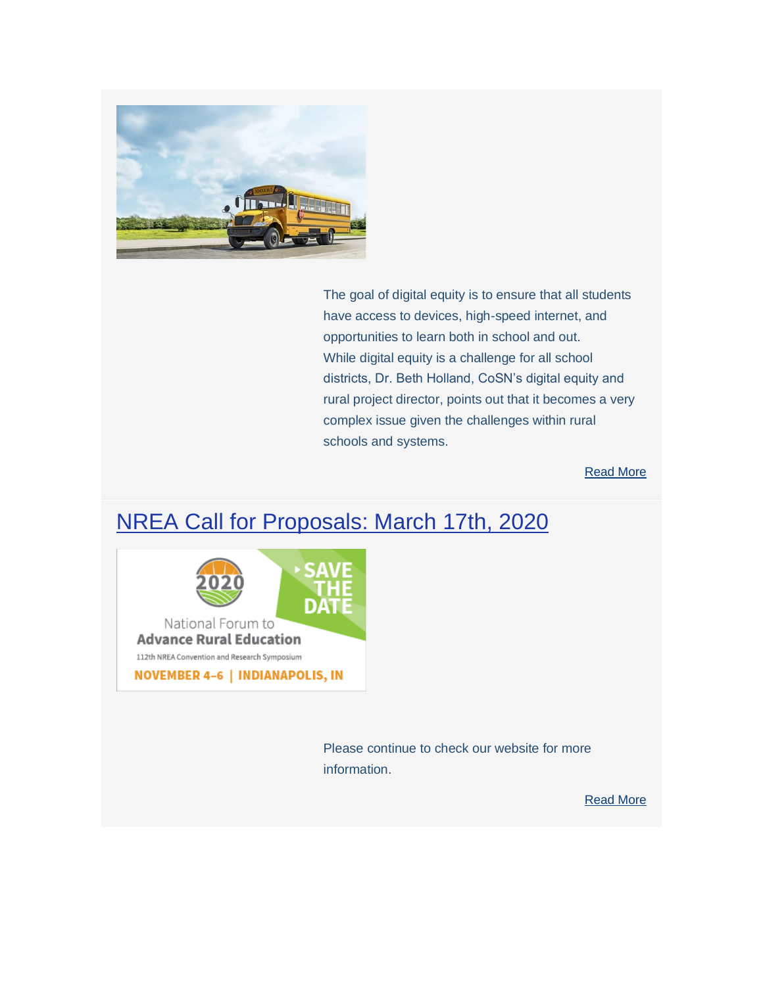

The goal of digital equity is to ensure that all students have access to devices, high-speed internet, and opportunities to learn both in school and out. While digital equity is a challenge for all school districts, Dr. Beth Holland, CoSN's digital equity and rural project director, points out that it becomes a very complex issue given the challenges within rural schools and systems.

[Read More](https://www.eventbank.com/track/redirect?type=campaign&lid=33&tracking_id=%5btrackingId%5d&redirect_url=https%3A%2F%2Fwww.eschoolnews.com%2F2020%2F02%2F26%2Ftechnology-in-rural-schools-addressing-digital-equity%2F&ts=1582920000&ps=MTZTeXFsZllvNFU3M2VjdWVzTzVHTk5CMkdYeXVDWUR3Wi92QTRnRU1GVE05WUFDaE1XY3ZKY081ajNiWU9BUmtzdXNpbmt3TnJhTTYxY2NlMmRESVc0Tk9yVURXYnBFSmxsckhpdC9wbk5GOWZjSW16V3gyOFk0dElOWVB3Y3pEL21JQkFpOXYveDhoRmdrYVd4cVdRPT0=)

### [NREA Call for Proposals: March 17th, 2020](https://www.eventbank.com/track/redirect?type=campaign&lid=34&tracking_id=%5btrackingId%5d&redirect_url=https%3A%2F%2Fwww.nrea.net%2FConvention_and_Research&ts=1582920000&ps=MTZTeXFsZllvNFU3M2VjdWVzTzVHRjU3UWlBc29MVjBSRXJTamFRM3M0ay9raE1sc2RhVG9mUkc0Mm0vZlhPK1QrVUV5cnprMzFUVzVzdXM0aDhCTkE9PQ==)



Please continue to check our website for more information.

[Read More](https://www.eventbank.com/track/redirect?type=campaign&lid=36&tracking_id=%5btrackingId%5d&redirect_url=https%3A%2F%2Fwww.nrea.net%2FConvention_and_Research&ts=1582920000&ps=MTZTeXFsZllvNFU3M2VjdWVzTzVHRjU3UWlBc29MVjBSRXJTamFRM3M0ay9raE1sc2RhVG9mUkc0Mm0vZlhPK1QrVUV5cnprMzFUVzVzdXM0aDhCTkE9PQ==)